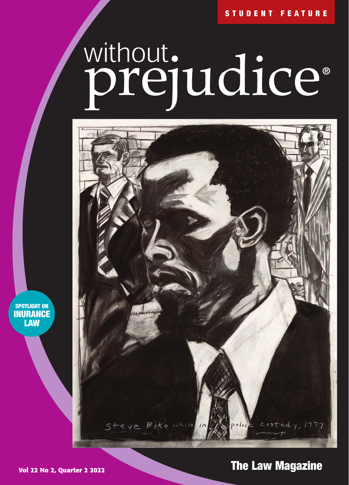# without.<br>**prejudice**®



**SPOTLIGHT ON INURANCE LAW**

# **Vol 22 No 2, Quarter 2 2022 The Law Magazine The Law Magazine**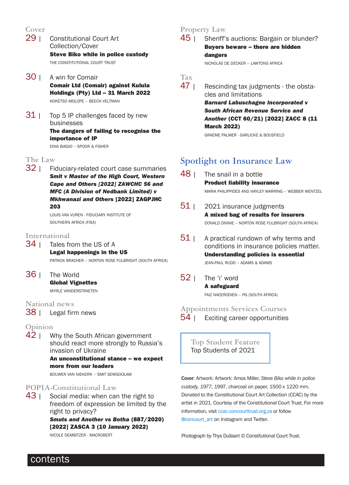# Cover<br>29 |

- **Constitutional Court Art** Collection/Cover **Steve Biko while in police custody** THE CONSTITUTIONAL COURT TRUST
- 30 | A win for Comair **Comair Ltd (Comair) against Kulula Holdings (Pty) Ltd – 31 March 2022**  KOKETSO MOLOPE – BEECH VELTMAN
- $31$  | Top 5 IP challenges faced by new businesses **The dangers of failing to recognise the importance of IP**  DINA BIAGIO – SPOOR & FISHER

The Law<br>**32** | Fic Fiduciary-related court case summaries *Smit v Master of the High Court, Western Cape and Others [2022] ZAWCHC 56 and MFC (A Division of Nedbank Limited) v Mkhwanazi and Others* **[2022] ZAGPJHC 203** 

> LOUIS VAN VUREN - FIDUCIARY INSTITUTE OF SOUTHERN AFRICA (FISA)

### **International**

- 34 | Tales from the US of A **Legal happenings in the US**  PATRICK BRACHER – NORTON ROSE FULBRIGHT (SOUTH AFRICA)
- 36 | The World **Global Vignettes**  MYRLE VANDERSTRAETEN

**National news**

38 | Legal firm news

### **Opinion**

 $42<sub>1</sub>$  Why the South African government should react more strongly to Russia's invasion of Ukraine **An unconstitutional stance – we expect**

**more from our leaders** 

BOUWER VAN NIEKERK – SMIT SEWGOOLAM

### **POPIA-Constitutional Law**

 $43$  | Social media: when can the right to freedom of expression be limited by the right to privacy? *Smuts and Another vs Botha* **(887/2020) [2022] ZASCA 3 (10 January 2022)**  NICOLE DEMBITZER - MACROBERT

# **Property Law**<br>**45 I** Sheriff'

Sheriff's auctions: Bargain or blunder? **Buyers beware – there are hidden dangers**  NICHOLAS DE DECKER – LAWTONS AFRICA

**Tax** Rescinding tax judgments - the obstacles and limitations *Barnard Labuschagne Incorporated v South African Revenue Service and Another* **(CCT 60/21) [2022] ZACC 8 (11 March 2022)** 

GRAEME PALMER - GARLICKE & BOUSFIELD

# **Spotlight on Insurance Law**

- 48 | The snail in a bottle **Product liability insurance**  MARIA PHILIPPIDES AND HAYLEY WARRING – WEBBER WENTZEL
- $51$  | 2021 insurance judgments **A mixed bag of results for insurers**  DONALD DINNIE – NORTON ROSE FULBRIGHT (SOUTH AFRICA)
- $51$  | A practical rundown of why terms and conditions in insurance policies matter. **Understanding policies is essential**  JEAN-PAUL RUDD – ADAMS & ADAMS
- 52 | The 'i' word **A safeguard**  FAIZ NACERODIEN – PG (SOUTH AFRICA)

## **Appointments Services Courses**

54 | Exciting career opportunities

**Top Student Feature** Top Students of 2021

Cover: Artwork: Artwork: Amos Miller, *Steve Biko while in police custody, 1977,* 1997, charcoal on paper, 1500 x 1220 mm. Donated to the Constitutional Court Art Collection (CCAC) by the artist in 2021. Courtesy of the Constitutional Court Trust. For more information, visit ccac.concourttrust.org.za or follow @concourt\_art on Instagram and Twitter.

Photograph by Thys Dullaart © Constitutional Court Trust.